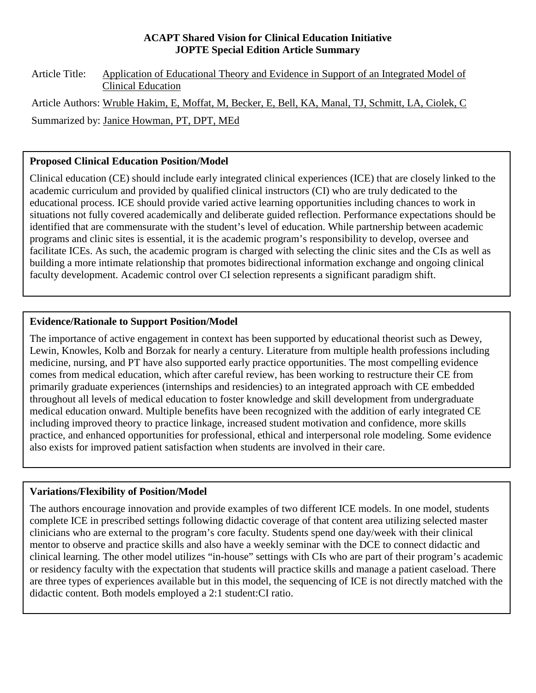#### **ACAPT Shared Vision for Clinical Education Initiative JOPTE Special Edition Article Summary**

Article Title: Application of Educational Theory and Evidence in Support of an Integrated Model of Clinical Education Article Authors: Wruble Hakim, E, Moffat, M, Becker, E, Bell, KA, Manal, TJ, Schmitt, LA, Ciolek, C Summarized by: Janice Howman, PT, DPT, MEd

## **Proposed Clinical Education Position/Model**

Clinical education (CE) should include early integrated clinical experiences (ICE) that are closely linked to the academic curriculum and provided by qualified clinical instructors (CI) who are truly dedicated to the educational process. ICE should provide varied active learning opportunities including chances to work in situations not fully covered academically and deliberate guided reflection. Performance expectations should be identified that are commensurate with the student's level of education. While partnership between academic programs and clinic sites is essential, it is the academic program's responsibility to develop, oversee and facilitate ICEs. As such, the academic program is charged with selecting the clinic sites and the CIs as well as building a more intimate relationship that promotes bidirectional information exchange and ongoing clinical faculty development. Academic control over CI selection represents a significant paradigm shift.

# **Evidence/Rationale to Support Position/Model**

The importance of active engagement in context has been supported by educational theorist such as Dewey, Lewin, Knowles, Kolb and Borzak for nearly a century. Literature from multiple health professions including medicine, nursing, and PT have also supported early practice opportunities. The most compelling evidence comes from medical education, which after careful review, has been working to restructure their CE from primarily graduate experiences (internships and residencies) to an integrated approach with CE embedded throughout all levels of medical education to foster knowledge and skill development from undergraduate medical education onward. Multiple benefits have been recognized with the addition of early integrated CE including improved theory to practice linkage, increased student motivation and confidence, more skills practice, and enhanced opportunities for professional, ethical and interpersonal role modeling. Some evidence also exists for improved patient satisfaction when students are involved in their care.

# **Variations/Flexibility of Position/Model**

The authors encourage innovation and provide examples of two different ICE models. In one model, students complete ICE in prescribed settings following didactic coverage of that content area utilizing selected master clinicians who are external to the program's core faculty. Students spend one day/week with their clinical mentor to observe and practice skills and also have a weekly seminar with the DCE to connect didactic and clinical learning. The other model utilizes "in-house" settings with CIs who are part of their program's academic or residency faculty with the expectation that students will practice skills and manage a patient caseload. There are three types of experiences available but in this model, the sequencing of ICE is not directly matched with the didactic content. Both models employed a 2:1 student:CI ratio.